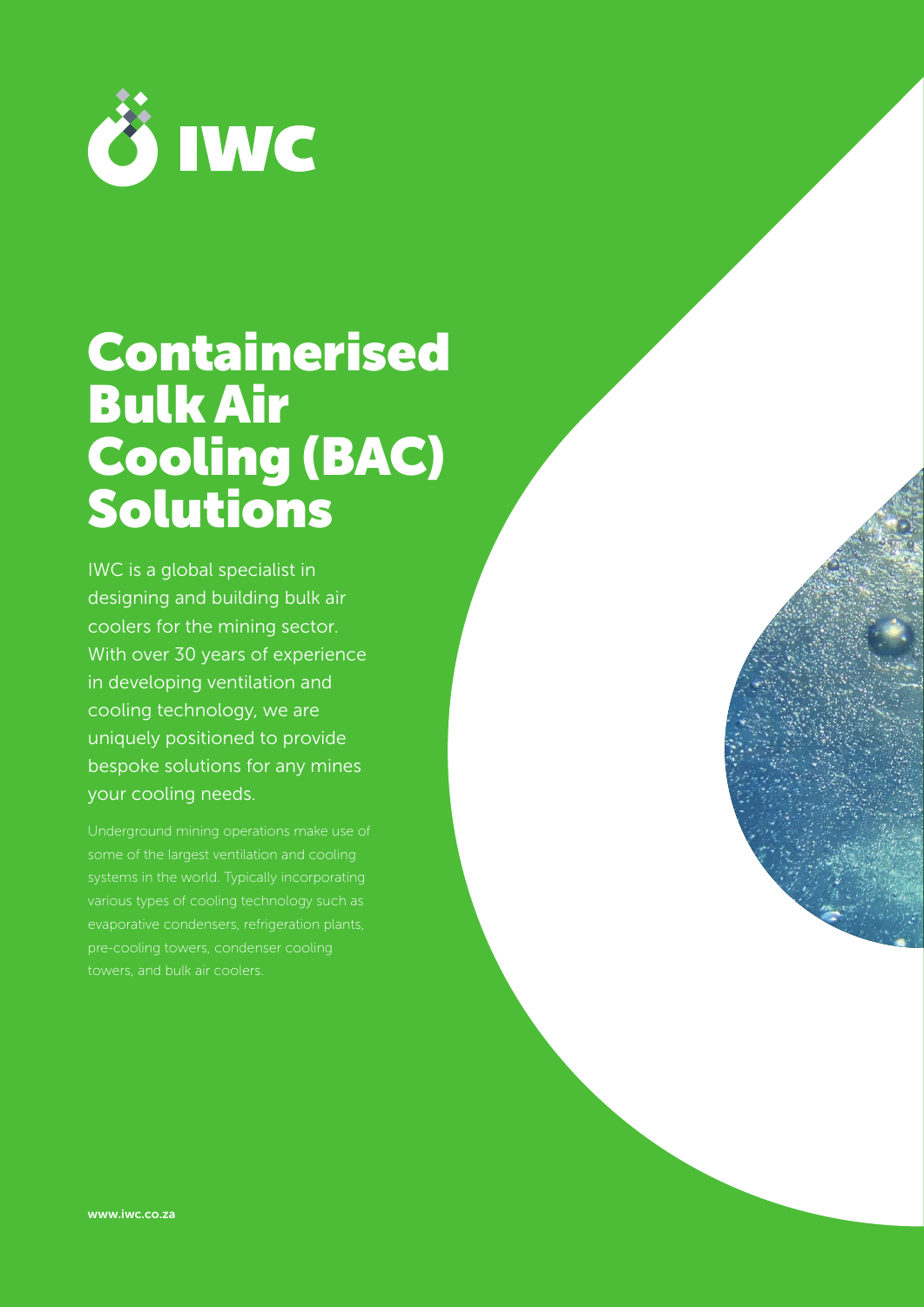

# **Containerised** Bulk Air Cooling (BAC) Solutions

IWC is a global specialist in designing and building bulk air coolers for the mining sector. With over 30 years of experience in developing ventilation and cooling technology, we are uniquely positioned to provide bespoke solutions for any mines your cooling needs.

evaporative condensers, refrigeration plants, pre-cooling towers, condenser cooling towers, and bulk air coolers.